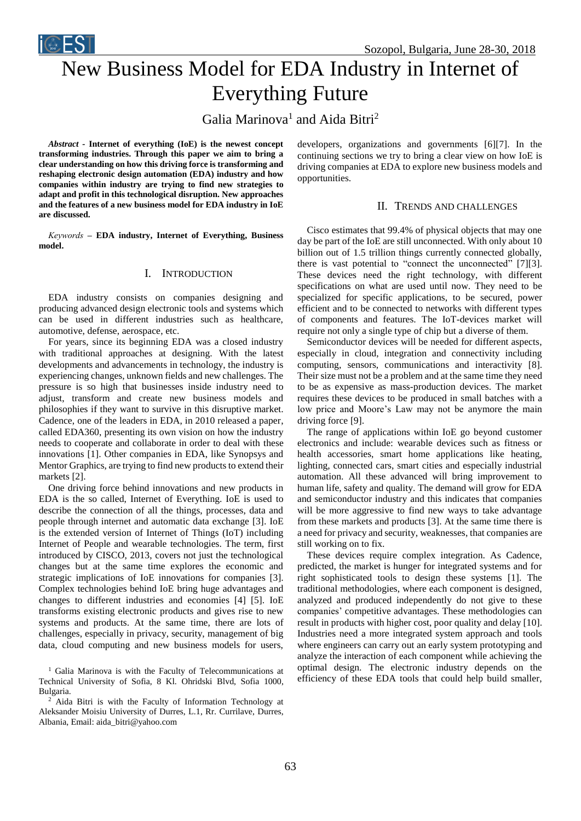Sozopol, Bulgaria, June 28-30, 2018



# New Business Model for EDA Industry in Internet of Everything Future

Galia Marinova<sup>1</sup> and Aida Bitri<sup>2</sup>

*Abstract -* **Internet of everything (IoE) is the newest concept transforming industries. Through this paper we aim to bring a clear understanding on how this driving force is transforming and reshaping electronic design automation (EDA) industry and how companies within industry are trying to find new strategies to adapt and profit in this technological disruption. New approaches and the features of a new business model for EDA industry in IoE are discussed.**

*Keywords –* **EDA industry, Internet of Everything, Business model.**

## I. INTRODUCTION

EDA industry consists on companies designing and producing advanced design electronic tools and systems which can be used in different industries such as healthcare, automotive, defense, aerospace, etc.

For years, since its beginning EDA was a closed industry with traditional approaches at designing. With the latest developments and advancements in technology, the industry is experiencing changes, unknown fields and new challenges. The pressure is so high that businesses inside industry need to adjust, transform and create new business models and philosophies if they want to survive in this disruptive market. Cadence, one of the leaders in EDA, in 2010 released a paper, called EDA360, presenting its own vision on how the industry needs to cooperate and collaborate in order to deal with these innovations [1]. Other companies in EDA, like Synopsys and Mentor Graphics, are trying to find new products to extend their markets [2].

One driving force behind innovations and new products in EDA is the so called, Internet of Everything. IoE is used to describe the connection of all the things, processes, data and people through internet and automatic data exchange [3]. IoE is the extended version of Internet of Things (IoT) including Internet of People and wearable technologies. The term, first introduced by CISCO, 2013, covers not just the technological changes but at the same time explores the economic and strategic implications of IoE innovations for companies [3]. Complex technologies behind IoE bring huge advantages and changes to different industries and economies [4] [5]. IoE transforms existing electronic products and gives rise to new systems and products. At the same time, there are lots of challenges, especially in privacy, security, management of big data, cloud computing and new business models for users,

<sup>1</sup> Galia Marinova is with the Faculty of Telecommunications at Technical University of Sofia, 8 Kl. Ohridski Blvd, Sofia 1000, Bulgaria.

<sup>2</sup> Aida Bitri is with the Faculty of Information Technology at Aleksander Moisiu University of Durres, L.1, Rr. Currilave, Durres, Albania, Email: aida\_bitri@yahoo.com

developers, organizations and governments [6][7]. In the continuing sections we try to bring a clear view on how IoE is driving companies at EDA to explore new business models and opportunities.

#### II. TRENDS AND CHALLENGES

Cisco estimates that 99.4% of physical objects that may one day be part of the IoE are still unconnected. With only about 10 billion out of 1.5 trillion things currently connected globally, there is vast potential to "connect the unconnected" [7][3]. These devices need the right technology, with different specifications on what are used until now. They need to be specialized for specific applications, to be secured, power efficient and to be connected to networks with different types of components and features. The IoT-devices market will require not only a single type of chip but a diverse of them.

Semiconductor devices will be needed for different aspects, especially in cloud, integration and connectivity including computing, sensors, communications and interactivity [8]. Their size must not be a problem and at the same time they need to be as expensive as mass-production devices. The market requires these devices to be produced in small batches with a low price and Moore's Law may not be anymore the main driving force [9].

The range of applications within IoE go beyond customer electronics and include: wearable devices such as fitness or health accessories, smart home applications like heating, lighting, connected cars, smart cities and especially industrial automation. All these advanced will bring improvement to human life, safety and quality. The demand will grow for EDA and semiconductor industry and this indicates that companies will be more aggressive to find new ways to take advantage from these markets and products [3]. At the same time there is a need for privacy and security, weaknesses, that companies are still working on to fix.

These devices require complex integration. As Cadence, predicted, the market is hunger for integrated systems and for right sophisticated tools to design these systems [1]. The traditional methodologies, where each component is designed, analyzed and produced independently do not give to these companies' competitive advantages. These methodologies can result in products with higher cost, poor quality and delay [10]. Industries need a more integrated system approach and tools where engineers can carry out an early system prototyping and analyze the interaction of each component while achieving the optimal design. The electronic industry depends on the efficiency of these EDA tools that could help build smaller,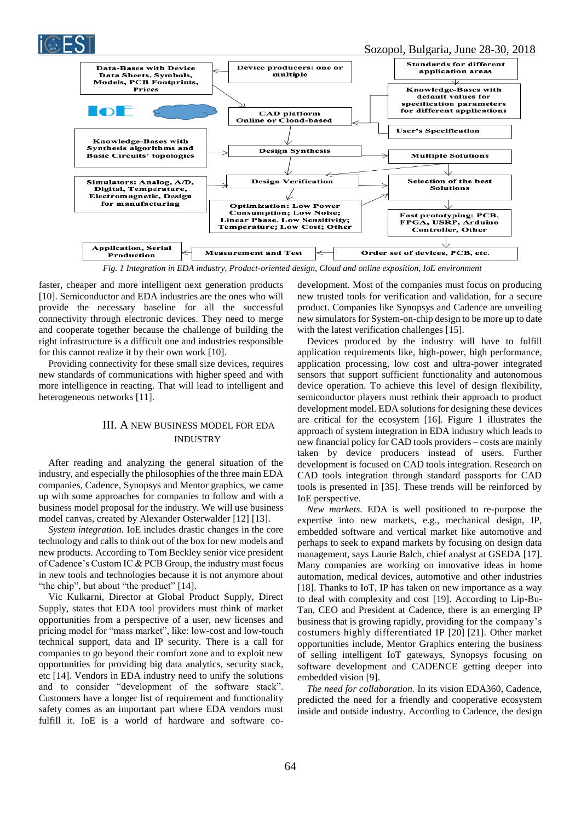

*Fig. 1 Integration in EDA industry, Product-oriented design, Cloud and online exposition, IoE environment*

faster, cheaper and more intelligent next generation products [10]. Semiconductor and EDA industries are the ones who will provide the necessary baseline for all the successful connectivity through electronic devices. They need to merge and cooperate together because the challenge of building the right infrastructure is a difficult one and industries responsible for this cannot realize it by their own work [10].

Providing connectivity for these small size devices, requires new standards of communications with higher speed and with more intelligence in reacting. That will lead to intelligent and heterogeneous networks [11].

## III. A NEW BUSINESS MODEL FOR EDA INDUSTRY

After reading and analyzing the general situation of the industry, and especially the philosophies of the three main EDA companies, Cadence, Synopsys and Mentor graphics, we came up with some approaches for companies to follow and with a business model proposal for the industry. We will use business model canvas, created by Alexander Osterwalder [12] [13].

*System integration.* IoE includes drastic changes in the core technology and calls to think out of the box for new models and new products. According to Tom Beckley senior vice president of Cadence's Custom IC & PCB Group, the industry must focus in new tools and technologies because it is not anymore about "the chip", but about "the product" [14].

Vic Kulkarni, Director at Global Product Supply, Direct Supply, states that EDA tool providers must think of market opportunities from a perspective of a user, new licenses and pricing model for "mass market", like: low-cost and low-touch technical support, data and IP security. There is a call for companies to go beyond their comfort zone and to exploit new opportunities for providing big data analytics, security stack, etc [14]. Vendors in EDA industry need to unify the solutions and to consider "development of the software stack". Customers have a longer list of requirement and functionality safety comes as an important part where EDA vendors must fulfill it. IoE is a world of hardware and software codevelopment. Most of the companies must focus on producing new trusted tools for verification and validation, for a secure product. Companies like Synopsys and Cadence are unveiling new simulators for System-on-chip design to be more up to date with the latest verification challenges [15].

Devices produced by the industry will have to fulfill application requirements like, high-power, high performance, application processing, low cost and ultra-power integrated sensors that support sufficient functionality and autonomous device operation. To achieve this level of design flexibility, semiconductor players must rethink their approach to product development model. EDA solutions for designing these devices are critical for the ecosystem [16]. Figure 1 illustrates the approach of system integration in EDA industry which leads to new financial policy for CAD tools providers – costs are mainly taken by device producers instead of users. Further development is focused on CAD tools integration. Research on CAD tools integration through standard passports for CAD tools is presented in [35]. These trends will be reinforced by IoE perspective.

*New markets.* EDA is well positioned to re-purpose the expertise into new markets, e.g., mechanical design, IP, embedded software and vertical market like automotive and perhaps to seek to expand markets by focusing on design data management, says Laurie Balch, chief analyst at GSEDA [17]. Many companies are working on innovative ideas in home automation, medical devices, automotive and other industries [18]. Thanks to IoT, IP has taken on new importance as a way to deal with complexity and cost [19]. According to Lip-Bu-Tan, CEO and President at Cadence, there is an emerging IP business that is growing rapidly, providing for the company's costumers highly differentiated IP [20] [21]. Other market opportunities include, Mentor Graphics entering the business of selling intelligent IoT gateways, Synopsys focusing on software development and CADENCE getting deeper into embedded vision [9].

*The need for collaboration.* In its vision EDA360, Cadence, predicted the need for a friendly and cooperative ecosystem inside and outside industry. According to Cadence, the design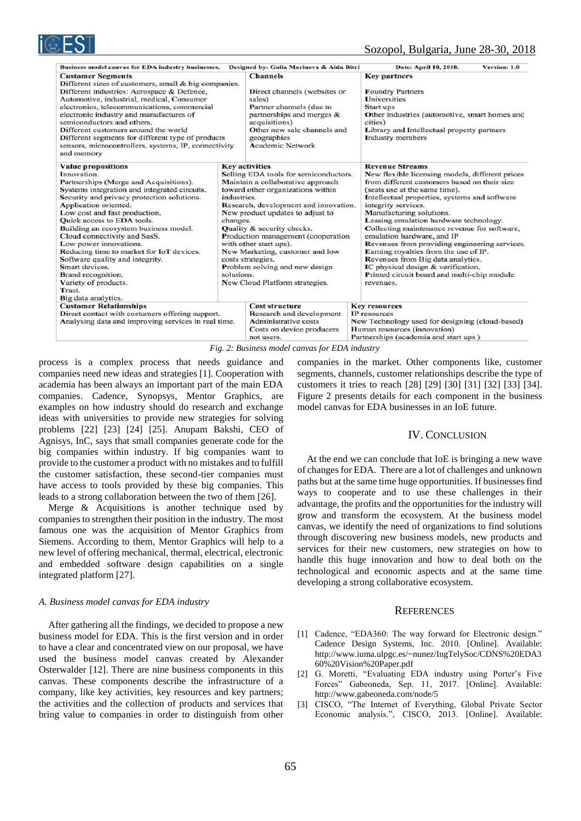| Business model canvas for EDA industry businesses.                                                                                                                                                                                                                                                                                                                                                                                                                                                                                                                 |                                       | Designed by: Galia Marinova & Aida Bitri                                                                                                                                                                                                                                                                                                                                                                                                        | Date: April 10, 2018.<br>Version: 1.0                                                                                                                                                                                                                                                                                                                                                                                                                                                                                                                                                                                   |
|--------------------------------------------------------------------------------------------------------------------------------------------------------------------------------------------------------------------------------------------------------------------------------------------------------------------------------------------------------------------------------------------------------------------------------------------------------------------------------------------------------------------------------------------------------------------|---------------------------------------|-------------------------------------------------------------------------------------------------------------------------------------------------------------------------------------------------------------------------------------------------------------------------------------------------------------------------------------------------------------------------------------------------------------------------------------------------|-------------------------------------------------------------------------------------------------------------------------------------------------------------------------------------------------------------------------------------------------------------------------------------------------------------------------------------------------------------------------------------------------------------------------------------------------------------------------------------------------------------------------------------------------------------------------------------------------------------------------|
| <b>Customer Segments</b><br>Different sizes of customers, small & big companies.<br>Different industries: Aerospace & Defence,<br>Automotive, industrial, medical, Consumer<br>electronics, telecommunications, commercial<br>electronic industry and manufactures of<br>semiconductors and others.<br>Different customers around the world<br>Different segments for different type of products<br>sensors, microcontrollers, systems, IP, connectivity<br>and memory                                                                                             |                                       | <b>Channels</b><br>Direct channels (websites or<br>sales)<br>Partner channels (due to<br>partnerships and merges &<br>acquisitions)<br>Other new sale channels and<br>geographies<br><b>Academic Network</b>                                                                                                                                                                                                                                    | <b>Key partners</b><br><b>Foundry Partners</b><br>Universities<br>Start ups<br>Other industries (automotive, smart homes and<br>cities)<br>Library and Intellectual property partners<br><b>Industry</b> members                                                                                                                                                                                                                                                                                                                                                                                                        |
| <b>Value propositions</b><br>Innovation.<br>Partnerships (Merge and Acquisitions).<br>Systems integration and integrated circuits.<br>Security and privacy protection solutions.<br>Application oriented.<br>Low cost and fast production.<br><b>Ouick access to EDA tools.</b><br>Building an ecosystem business model.<br>Cloud connectivity and SasS.<br>Low power innovations.<br>Reducing time to market for IoT devices.<br>Software quality and integrity.<br>Smart devices.<br>Brand recognition.<br>Variety of products.<br>Trust.<br>Big data analytics. | industries.<br>changes.<br>solutions. | <b>Key activities</b><br>Selling EDA tools for semiconductors.<br>Maintain a collaborative approach<br>toward other organizations within<br>Research, development and innovation.<br>New product updates to adjust to<br>Quality & security checks.<br>Production management (cooperation<br>with other start ups).<br>New Marketing, customer and low<br>costs strategies.<br>Problem solving and new design<br>New Cloud Platform strategies. | <b>Revenue Streams</b><br>New flexible licensing models, different prices<br>from different customers based on their size<br>(seats use at the same time).<br>Intellectual properties, systems and software<br>integrity services.<br>Manufacturing solutions.<br>Leasing emulation hardware technology.<br>Collecting maintenance revenue for software,<br>emulation hardware, and IP<br>Revenues from providing engineering services.<br>Earning royalties from the use of IP.<br>Revenues from Big data analytics.<br>IC physical design & verification.<br>Printed circuit board and multi-chip module<br>revenues. |
| <b>Customer Relationships</b><br>Direct contact with costumers offering support.<br>Analysing data and improving services in real time.<br>$\mathbf{r}$ $\alpha$ $\mathbf{r}$ $\beta$                                                                                                                                                                                                                                                                                                                                                                              |                                       | <b>Cost structure</b><br><b>Research and development</b><br><b>Administrative costs</b><br>Costs on device producers<br>not users.<br>$c$ muss $i$<br>$\mathbf{1}$                                                                                                                                                                                                                                                                              | <b>Key resources</b><br>IP resources<br>New Technology used for designing (cloud-based)<br>Human resources (innovation)<br>Partnerships (academia and start ups)                                                                                                                                                                                                                                                                                                                                                                                                                                                        |

*Fig. 2: Business model canvas for EDA industry*

process is a complex process that needs guidance and companies need new ideas and strategies [1]. Cooperation with academia has been always an important part of the main EDA companies. Cadence, Synopsys, Mentor Graphics, are examples on how industry should do research and exchange ideas with universities to provide new strategies for solving problems [22] [23] [24] [25]. Anupam Bakshi, CEO of Agnisys, InC, says that small companies generate code for the big companies within industry. If big companies want to provide to the customer a product with no mistakes and to fulfill the customer satisfaction, these second-tier companies must have access to tools provided by these big companies. This leads to a strong collaboration between the two of them [26].

Merge & Acquisitions is another technique used by companies to strengthen their position in the industry. The most famous one was the acquisition of Mentor Graphics from Siemens. According to them, Mentor Graphics will help to a new level of offering mechanical, thermal, electrical, electronic and embedded software design capabilities on a single integrated platform [27].

#### *A. Business model canvas for EDA industry*

After gathering all the findings, we decided to propose a new business model for EDA. This is the first version and in order to have a clear and concentrated view on our proposal, we have used the business model canvas created by Alexander Osterwalder [12]. There are nine business components in this canvas. These components describe the infrastructure of a company, like key activities, key resources and key partners; the activities and the collection of products and services that bring value to companies in order to distinguish from other companies in the market. Other components like, customer segments, channels, customer relationships describe the type of customers it tries to reach [28] [29] [30] [31] [32] [33] [34]. Figure 2 presents details for each component in the business model canvas for EDA businesses in an IoE future.

## IV. CONCLUSION

At the end we can conclude that IoE is bringing a new wave of changes for EDA. There are a lot of challenges and unknown paths but at the same time huge opportunities. If businesses find ways to cooperate and to use these challenges in their advantage, the profits and the opportunities for the industry will grow and transform the ecosystem. At the business model canvas, we identify the need of organizations to find solutions through discovering new business models, new products and services for their new customers, new strategies on how to handle this huge innovation and how to deal both on the technological and economic aspects and at the same time developing a strong collaborative ecosystem.

#### **REFERENCES**

- [1] Cadence, "EDA360: The way forward for Electronic design." Cadence Design Systems, Inc. 2010. [Online]. Available: [http://www.iuma.ulpgc.es/~nunez/IngTelySoc/CDNS%20EDA3](http://www.iuma.ulpgc.es/~nunez/IngTelySoc/CDNS%20EDA360%20Vision%20Paper.pdf) [60%20Vision%20Paper.pdf](http://www.iuma.ulpgc.es/~nunez/IngTelySoc/CDNS%20EDA360%20Vision%20Paper.pdf)
- [2] G. Moretti, "Evaluating EDA industry using Porter's Five Forces" Gabeoneda, Sep. 11, 2017. [Online]. Available: <http://www.gabeoneda.com/node/5>
- [3] CISCO, "The Internet of Everything, Global Private Sector Economic analysis.", CISCO, 2013. [Online]. Available: